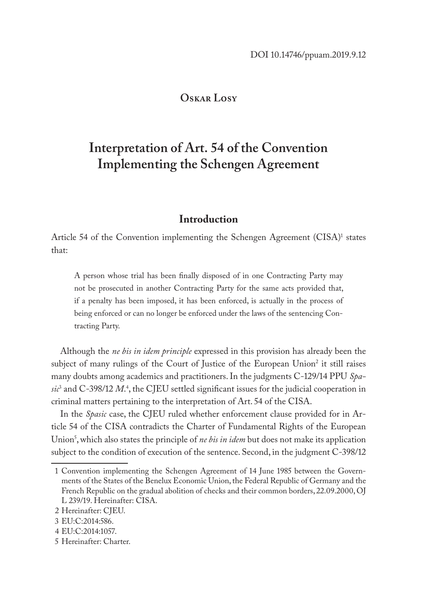## **Oskar Losy**

# **Interpretation of Art. 54 of the Convention Implementing the Schengen Agreement**

# **Introduction**

Article 54 of the Convention implementing the Schengen Agreement (CISA)<sup>1</sup> states that:

A person whose trial has been finally disposed of in one Contracting Party may not be prosecuted in another Contracting Party for the same acts provided that, if a penalty has been imposed, it has been enforced, is actually in the process of being enforced or can no longer be enforced under the laws of the sentencing Contracting Party.

Although the *ne bis in idem principle* expressed in this provision has already been the subject of many rulings of the Court of Justice of the European Union<sup>2</sup> it still raises many doubts among academics and practitioners. In the judgments C-129/14 PPU *Spasic*<sup>3</sup> and C-398/12 *M*. 4 , the CJEU settled significant issues for the judicial cooperation in criminal matters pertaining to the interpretation of Art. 54 of the CISA.

In the *Spasic* case, the CJEU ruled whether enforcement clause provided for in Article 54 of the CISA contradicts the Charter of Fundamental Rights of the European Union<sup>3</sup>, which also states the principle of *ne bis in idem* but does not make its application subject to the condition of execution of the sentence. Second, in the judgment C-398/12

<sup>1</sup> Convention implementing the Schengen Agreement of 14 June 1985 between the Governments of the States of the Benelux Economic Union, the Federal Republic of Germany and the French Republic on the gradual abolition of checks and their common borders, 22.09.2000, OJ L 239/19. Hereinafter: CISA.

<sup>2</sup> Hereinafter: CJEU.

<sup>3</sup> EU:C:2014:586.

<sup>4</sup> EU:C:2014:1057.

<sup>5</sup> Hereinafter: Charter.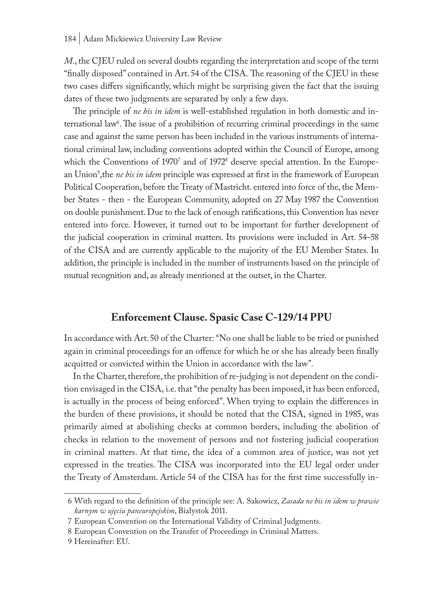*M*., the CJEU ruled on several doubts regarding the interpretation and scope of the term "finally disposed" contained in Art. 54 of the CISA. The reasoning of the CJEU in these two cases differs significantly, which might be surprising given the fact that the issuing dates of these two judgments are separated by only a few days.

The principle of *ne bis in idem* is well-established regulation in both domestic and international law<sup>6</sup>. The issue of a prohibition of recurring criminal proceedings in the same case and against the same person has been included in the various instruments of international criminal law, including conventions adopted within the Council of Europe, among which the Conventions of 1970' and of 1972<sup>8</sup> deserve special attention. In the European Union<sup>9</sup>,the *ne bis in idem* principle was expressed at first in the framework of European Political Cooperation, before the Treaty of Mastricht. entered into force of the, the Member States - then - the European Community, adopted on 27 May 1987 the Convention on double punishment. Due to the lack of enough ratifications, this Convention has never entered into force. However, it turned out to be important for further development of the judicial cooperation in criminal matters. Its provisions were included in Art. 54–58 of the CISA and are currently applicable to the majority of the EU Member States. In addition, the principle is included in the number of instruments based on the principle of mutual recognition and, as already mentioned at the outset, in the Charter.

# **Enforcement Clause. Spasic Case C-129/14 PPU**

In accordance with Art. 50 of the Charter: "No one shall be liable to be tried or punished again in criminal proceedings for an offence for which he or she has already been finally acquitted or convicted within the Union in accordance with the law"*.*

In the Charter, therefore, the prohibition of re-judging is not dependent on the condition envisaged in the CISA, i.e. that "the penalty has been imposed, it has been enforced, is actually in the process of being enforced". When trying to explain the differences in the burden of these provisions, it should be noted that the CISA, signed in 1985, was primarily aimed at abolishing checks at common borders, including the abolition of checks in relation to the movement of persons and not fostering judicial cooperation in criminal matters. At that time, the idea of a common area of justice, was not yet expressed in the treaties. The CISA was incorporated into the EU legal order under the Treaty of Amsterdam. Article 54 of the CISA has for the first time successfully in-

<sup>6</sup> With regard to the definition of the principle see: A. Sakowicz, *Zasada ne bis in idem w prawie karnym w ujęciu paneuropejskim*, Białystok 2011.

<sup>7</sup> European Convention on the International Validity of Criminal Judgments.

<sup>8</sup> European Convention on the Transfer of Proceedings in Criminal Matters.

<sup>9</sup> Hereinafter: EU.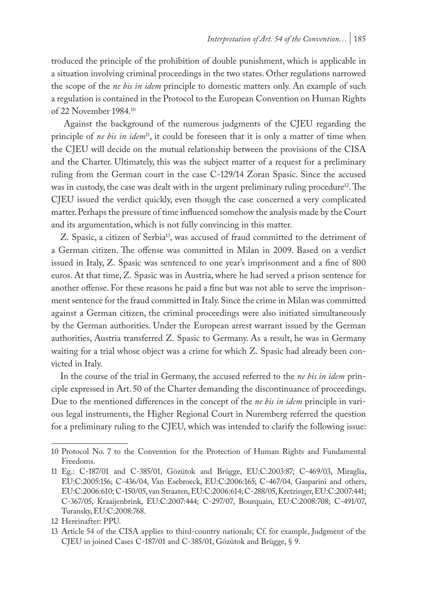troduced the principle of the prohibition of double punishment, which is applicable in a situation involving criminal proceedings in the two states. Other regulations narrowed the scope of the *ne bis in idem* principle to domestic matters only. An example of such a regulation is contained in the Protocol to the European Convention on Human Rights of 22 November 1984.10

 Against the background of the numerous judgments of the CJEU regarding the principle of *ne bis in idem*11, it could be foreseen that it is only a matter of time when the CJEU will decide on the mutual relationship between the provisions of the CISA and the Charter. Ultimately, this was the subject matter of a request for a preliminary ruling from the German court in the case C-129/14 Zoran Spasic. Since the accused was in custody, the case was dealt with in the urgent preliminary ruling procedure<sup>12</sup>. The CJEU issued the verdict quickly, even though the case concerned a very complicated matter. Perhaps the pressure of time influenced somehow the analysis made by the Court and its argumentation, which is not fully convincing in this matter.

Z. Spasic, a citizen of Serbia<sup>13</sup>, was accused of fraud committed to the detriment of a German citizen. The offense was committed in Milan in 2009. Based on a verdict issued in Italy, Z. Spasic was sentenced to one year's imprisonment and a fine of 800 euros. At that time, Z. Spasic was in Austria, where he had served a prison sentence for another offense. For these reasons he paid a fine but was not able to serve the imprisonment sentence for the fraud committed in Italy. Since the crime in Milan was committed against a German citizen, the criminal proceedings were also initiated simultaneously by the German authorities. Under the European arrest warrant issued by the German authorities, Austria transferred Z. Spasic to Germany. As a result, he was in Germany waiting for a trial whose object was a crime for which Z. Spasic had already been convicted in Italy.

In the course of the trial in Germany, the accused referred to the *ne bis in idem* principle expressed in Art. 50 of the Charter demanding the discontinuance of proceedings. Due to the mentioned differences in the concept of the *ne bis in idem* principle in various legal instruments, the Higher Regional Court in Nuremberg referred the question for a preliminary ruling to the CJEU, which was intended to clarify the following issue:

<sup>10</sup> Protocol No. 7 to the Convention for the Protection of Human Rights and Fundamental Freedoms.

<sup>11</sup> Eg.: C-187/01 and C-385/01, Gözütok and Brügge, EU:C:2003:87; C-469/03, Miraglia, EU:C:2005:156; C-436/04, Van Esebroeck, EU:C:2006:165; C-467/04, Gasparini and others, EU:C:2006:610; C-150/05, van Straaten, EU:C:2006:614; C-288/05, Kretzinger, EU:C:2007:441; C-367/05, Kraaijenbrink, EU:C:2007:444; C-297/07, Bourquain, EU:C:2008:708; C-491/07, Turansky, EU:C:2008:768.

<sup>12</sup> Hereinafter: PPU.

<sup>13</sup> Article 54 of the CISA applies to third-country nationals; Cf. for example, Judgment of the CJEU in joined Cases C-187/01 and C-385/01, Gözütok and Brügge, § 9.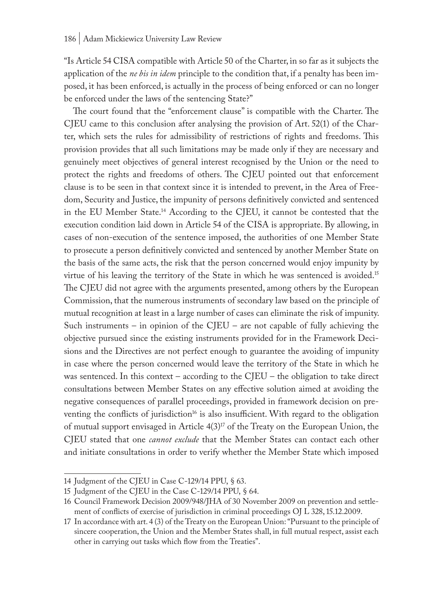"Is Article 54 CISA compatible with Article 50 of the Charter, in so far as it subjects the application of the *ne bis in idem* principle to the condition that, if a penalty has been imposed, it has been enforced, is actually in the process of being enforced or can no longer be enforced under the laws of the sentencing State?"

The court found that the "enforcement clause" is compatible with the Charter. The CJEU came to this conclusion after analysing the provision of Art. 52(1) of the Charter, which sets the rules for admissibility of restrictions of rights and freedoms. This provision provides that all such limitations may be made only if they are necessary and genuinely meet objectives of general interest recognised by the Union or the need to protect the rights and freedoms of others. The CJEU pointed out that enforcement clause is to be seen in that context since it is intended to prevent, in the Area of Freedom, Security and Justice, the impunity of persons definitively convicted and sentenced in the EU Member State.<sup>14</sup> According to the CJEU, it cannot be contested that the execution condition laid down in Article 54 of the CISA is appropriate. By allowing, in cases of non-execution of the sentence imposed, the authorities of one Member State to prosecute a person definitively convicted and sentenced by another Member State on the basis of the same acts, the risk that the person concerned would enjoy impunity by virtue of his leaving the territory of the State in which he was sentenced is avoided.15 The CJEU did not agree with the arguments presented, among others by the European Commission, that the numerous instruments of secondary law based on the principle of mutual recognition at least in a large number of cases can eliminate the risk of impunity. Such instruments – in opinion of the CJEU – are not capable of fully achieving the objective pursued since the existing instruments provided for in the Framework Decisions and the Directives are not perfect enough to guarantee the avoiding of impunity in case where the person concerned would leave the territory of the State in which he was sentenced. In this context – according to the CJEU – the obligation to take direct consultations between Member States on any effective solution aimed at avoiding the negative consequences of parallel proceedings, provided in framework decision on preventing the conflicts of jurisdiction<sup>16</sup> is also insufficient. With regard to the obligation of mutual support envisaged in Article 4(3)<sup>17</sup> of the Treaty on the European Union, the CJEU stated that one *cannot exclude* that the Member States can contact each other and initiate consultations in order to verify whether the Member State which imposed

<sup>14</sup> Judgment of the CJEU in Case C-129/14 PPU, § 63.

<sup>15</sup> Judgment of the CJEU in the Case C-129/14 PPU, § 64.

<sup>16</sup> Council Framework Decision 2009/948/JHA of 30 November 2009 on prevention and settlement of conflicts of exercise of jurisdiction in criminal proceedings OJ L 328, 15.12.2009.

<sup>17</sup> In accordance with art. 4 (3) of the Treaty on the European Union: "Pursuant to the principle of sincere cooperation, the Union and the Member States shall, in full mutual respect, assist each other in carrying out tasks which flow from the Treaties".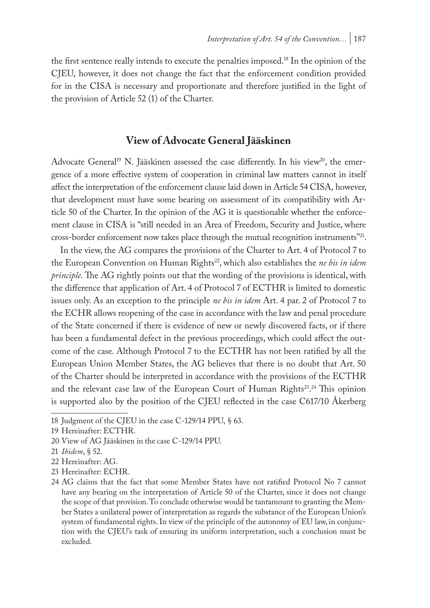the first sentence really intends to execute the penalties imposed.<sup>18</sup> In the opinion of the CJEU, however, it does not change the fact that the enforcement condition provided for in the CISA is necessary and proportionate and therefore justified in the light of the provision of Article 52 (1) of the Charter.

### **View of Advocate General Jääskinen**

Advocate General<sup>19</sup> N. Jääskinen assessed the case differently. In his view<sup>20</sup>, the emergence of a more effective system of cooperation in criminal law matters cannot in itself affect the interpretation of the enforcement clause laid down in Article 54 CISA, however, that development must have some bearing on assessment of its compatibility with Article 50 of the Charter. In the opinion of the AG it is questionable whether the enforcement clause in CISA is "still needed in an Area of Freedom, Security and Justice, where cross-border enforcement now takes place through the mutual recognition instruments"21.

In the view, the AG compares the provisions of the Charter to Art. 4 of Protocol 7 to the European Convention on Human Rights<sup>22</sup>, which also establishes the *ne bis in idem principle.* The AG rightly points out that the wording of the provisions is identical, with the difference that application of Art. 4 of Protocol 7 of ECTHR is limited to domestic issues only. As an exception to the principle *ne bis in idem* Art. 4 par. 2 of Protocol 7 to the ECHR allows reopening of the case in accordance with the law and penal procedure of the State concerned if there is evidence of new or newly discovered facts, or if there has been a fundamental defect in the previous proceedings, which could affect the outcome of the case. Although Protocol 7 to the ECTHR has not been ratified by all the European Union Member States, the AG believes that there is no doubt that Art. 50 of the Charter should be interpreted in accordance with the provisions of the ECTHR and the relevant case law of the European Court of Human Rights<sup>23</sup>.<sup>24</sup> This opinion is supported also by the position of the CJEU reflected in the case C617/10 Åkerberg

23 Hereinafter: ECHR.

<sup>18</sup> Judgment of the CJEU in the case C-129/14 PPU, § 63.

<sup>19</sup> Hereinafter: ECTHR.

<sup>20</sup> View of AG Jääskinen in the case C-129/14 PPU.

<sup>21</sup> *Ibidem*, § 52.

<sup>22</sup> Hereinafter: AG.

<sup>24</sup> AG claims that the fact that some Member States have not ratified Protocol No 7 cannot have any bearing on the interpretation of Article 50 of the Charter, since it does not change the scope of that provision. To conclude otherwise would be tantamount to granting the Member States a unilateral power of interpretation as regards the substance of the European Union's system of fundamental rights. In view of the principle of the autonomy of EU law, in conjunction with the CJEU's task of ensuring its uniform interpretation, such a conclusion must be excluded.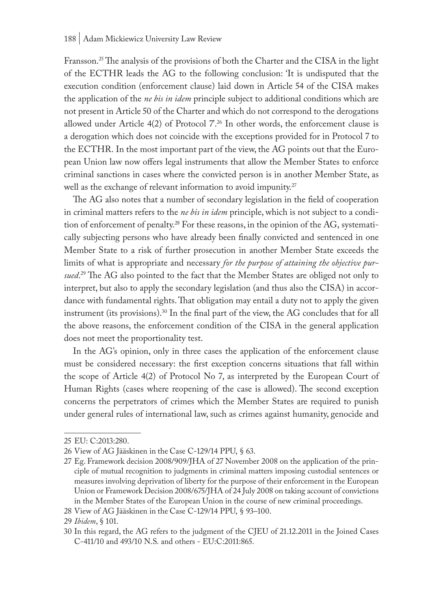Fransson.<sup>25</sup> The analysis of the provisions of both the Charter and the CISA in the light of the ECTHR leads the AG to the following conclusion: 'It is undisputed that the execution condition (enforcement clause) laid down in Article 54 of the CISA makes the application of the *ne bis in idem* principle subject to additional conditions which are not present in Article 50 of the Charter and which do not correspond to the derogations allowed under Article  $4(2)$  of Protocol  $7.^{26}$  In other words, the enforcement clause is a derogation which does not coincide with the exceptions provided for in Protocol 7 to the ECTHR. In the most important part of the view, the AG points out that the European Union law now offers legal instruments that allow the Member States to enforce criminal sanctions in cases where the convicted person is in another Member State, as well as the exchange of relevant information to avoid impunity.<sup>27</sup>

The AG also notes that a number of secondary legislation in the field of cooperation in criminal matters refers to the *ne bis in idem* principle, which is not subject to a condition of enforcement of penalty.28 For these reasons, in the opinion of the AG, systematically subjecting persons who have already been finally convicted and sentenced in one Member State to a risk of further prosecution in another Member State exceeds the limits of what is appropriate and necessary *for the purpose of attaining the objective pursued*. 29 The AG also pointed to the fact that the Member States are obliged not only to interpret, but also to apply the secondary legislation (and thus also the CISA) in accordance with fundamental rights. That obligation may entail a duty not to apply the given instrument (its provisions).30 In the final part of the view, the AG concludes that for all the above reasons, the enforcement condition of the CISA in the general application does not meet the proportionality test.

In the AG's opinion, only in three cases the application of the enforcement clause must be considered necessary: the first exception concerns situations that fall within the scope of Article 4(2) of Protocol No 7, as interpreted by the European Court of Human Rights (cases where reopening of the case is allowed). The second exception concerns the perpetrators of crimes which the Member States are required to punish under general rules of international law, such as crimes against humanity, genocide and

<sup>25</sup> EU: C:2013:280.

<sup>26</sup> View of AG Jääskinen in the Case C-129/14 PPU, § 63.

<sup>27</sup> Eg. Framework decision 2008/909/JHA of 27 November 2008 on the application of the principle of mutual recognition to judgments in criminal matters imposing custodial sentences or measures involving deprivation of liberty for the purpose of their enforcement in the European Union or Framework Decision 2008/675/JHA of 24 July 2008 on taking account of convictions in the Member States of the European Union in the course of new criminal proceedings.

<sup>28</sup> View of AG Jääskinen in the Case C-129/14 PPU, § 93–100.

<sup>29</sup> *Ibidem*, § 101.

<sup>30</sup> In this regard, the AG refers to the judgment of the CJEU of 21.12.2011 in the Joined Cases C-411/10 and 493/10 N.S. and others - EU:C:2011:865.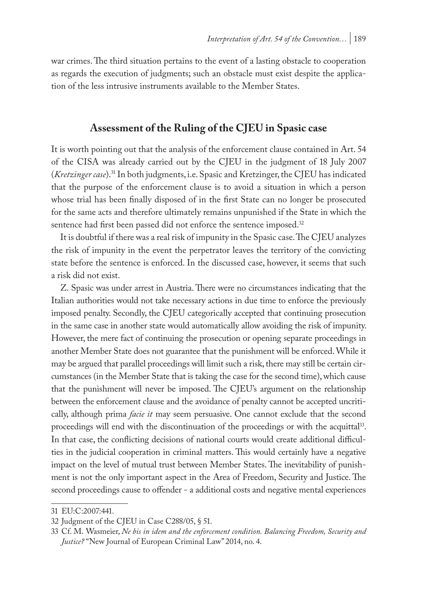war crimes. The third situation pertains to the event of a lasting obstacle to cooperation as regards the execution of judgments; such an obstacle must exist despite the application of the less intrusive instruments available to the Member States.

# **Assessment of the Ruling of the CJEU in Spasic case**

It is worth pointing out that the analysis of the enforcement clause contained in Art. 54 of the CISA was already carried out by the CJEU in the judgment of 18 July 2007 (*Kretzinger case*).31 In both judgments, i.e. Spasic and Kretzinger, the CJEU has indicated that the purpose of the enforcement clause is to avoid a situation in which a person whose trial has been finally disposed of in the first State can no longer be prosecuted for the same acts and therefore ultimately remains unpunished if the State in which the sentence had first been passed did not enforce the sentence imposed.<sup>32</sup>

It is doubtful if there was a real risk of impunity in the Spasic case. The CJEU analyzes the risk of impunity in the event the perpetrator leaves the territory of the convicting state before the sentence is enforced. In the discussed case, however, it seems that such a risk did not exist.

Z. Spasic was under arrest in Austria. There were no circumstances indicating that the Italian authorities would not take necessary actions in due time to enforce the previously imposed penalty. Secondly, the CJEU categorically accepted that continuing prosecution in the same case in another state would automatically allow avoiding the risk of impunity. However, the mere fact of continuing the prosecution or opening separate proceedings in another Member State does not guarantee that the punishment will be enforced. While it may be argued that parallel proceedings will limit such a risk, there may still be certain circumstances (in the Member State that is taking the case for the second time), which cause that the punishment will never be imposed. The CJEU's argument on the relationship between the enforcement clause and the avoidance of penalty cannot be accepted uncritically, although prima *facie it* may seem persuasive. One cannot exclude that the second proceedings will end with the discontinuation of the proceedings or with the acquittal<sup>33</sup>. In that case, the conflicting decisions of national courts would create additional difficulties in the judicial cooperation in criminal matters. This would certainly have a negative impact on the level of mutual trust between Member States. The inevitability of punishment is not the only important aspect in the Area of Freedom, Security and Justice. The second proceedings cause to offender - a additional costs and negative mental experiences

<sup>31</sup> EU:C:2007:441.

<sup>32</sup> Judgment of the CJEU in Case C288/05, § 51.

<sup>33</sup> Cf. M. Wasmeier, *Ne bis in idem and the enforcement condition. Balancing Freedom, Security and Justice?* "New Journal of European Criminal Law" 2014, no. 4.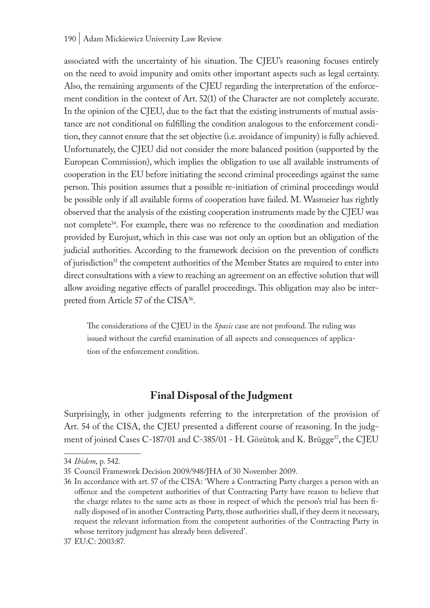associated with the uncertainty of his situation. The CJEU's reasoning focuses entirely on the need to avoid impunity and omits other important aspects such as legal certainty. Also, the remaining arguments of the CJEU regarding the interpretation of the enforcement condition in the context of Art. 52(1) of the Character are not completely accurate. In the opinion of the CJEU, due to the fact that the existing instruments of mutual assistance are not conditional on fulfilling the condition analogous to the enforcement condition, they cannot ensure that the set objective (i.e. avoidance of impunity) is fully achieved. Unfortunately, the CJEU did not consider the more balanced position (supported by the European Commission), which implies the obligation to use all available instruments of cooperation in the EU before initiating the second criminal proceedings against the same person. This position assumes that a possible re-initiation of criminal proceedings would be possible only if all available forms of cooperation have failed. M. Wasmeier has rightly observed that the analysis of the existing cooperation instruments made by the CJEU was not complete<sup>34</sup>. For example, there was no reference to the coordination and mediation provided by Eurojust, which in this case was not only an option but an obligation of the judicial authorities. According to the framework decision on the prevention of conflicts of jurisdiction<sup>35</sup> the competent authorities of the Member States are required to enter into direct consultations with a view to reaching an agreement on an effective solution that will allow avoiding negative effects of parallel proceedings. This obligation may also be interpreted from Article 57 of the CISA<sup>36</sup>.

The considerations of the CJEU in the *Spasic* case are not profound. The ruling was issued without the careful examination of all aspects and consequences of application of the enforcement condition.

# **Final Disposal of the Judgment**

Surprisingly, in other judgments referring to the interpretation of the provision of Art. 54 of the CISA, the CJEU presented a different course of reasoning. In the judgment of joined Cases C-187/01 and C-385/01 - H. Gözütok and K. Brügge<sup>37</sup>, the CJEU

<sup>34</sup> *Ibidem,* p*.* 542*.*

<sup>35</sup> Council Framework Decision 2009/948/JHA of 30 November 2009.

<sup>36</sup> In accordance with art. 57 of the CISA: 'Where a Contracting Party charges a person with an offence and the competent authorities of that Contracting Party have reason to believe that the charge relates to the same acts as those in respect of which the person's trial has been finally disposed of in another Contracting Party, those authorities shall, if they deem it necessary, request the relevant information from the competent authorities of the Contracting Party in whose territory judgment has already been delivered'.

<sup>37</sup> EU:C: 2003:87.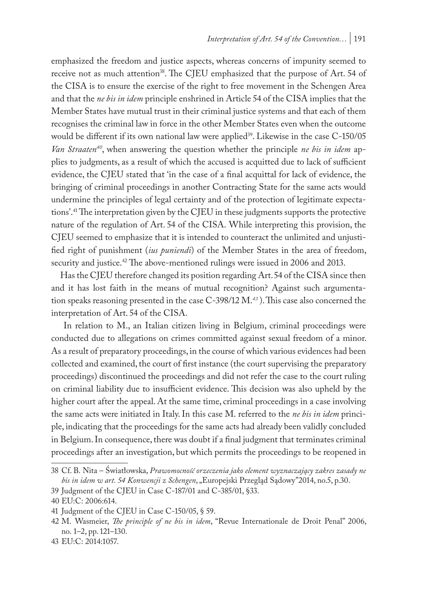emphasized the freedom and justice aspects, whereas concerns of impunity seemed to receive not as much attention<sup>38</sup>. The CJEU emphasized that the purpose of Art. 54 of the CISA is to ensure the exercise of the right to free movement in the Schengen Area and that the *ne bis in idem* principle enshrined in Article 54 of the CISA implies that the Member States have mutual trust in their criminal justice systems and that each of them recognises the criminal law in force in the other Member States even when the outcome would be different if its own national law were applied<sup>39</sup>. Likewise in the case C-150/05 *Van Straaten<sup>40</sup>*, when answering the question whether the principle *ne bis in idem* applies to judgments, as a result of which the accused is acquitted due to lack of sufficient evidence, the CJEU stated that 'in the case of a final acquittal for lack of evidence, the bringing of criminal proceedings in another Contracting State for the same acts would undermine the principles of legal certainty and of the protection of legitimate expectations'.41 The interpretation given by the CJEU in these judgments supports the protective nature of the regulation of Art. 54 of the CISA. While interpreting this provision, the CJEU seemed to emphasize that it is intended to counteract the unlimited and unjustified right of punishment (*ius puniendi*) of the Member States in the area of freedom, security and justice.<sup>42</sup> The above-mentioned rulings were issued in 2006 and 2013.

Has the CJEU therefore changed its position regarding Art. 54 of the CISA since then and it has lost faith in the means of mutual recognition? Against such argumentation speaks reasoning presented in the case C-398/12 M.*<sup>43</sup>* ). This case also concerned the interpretation of Art. 54 of the CISA.

 In relation to M., an Italian citizen living in Belgium, criminal proceedings were conducted due to allegations on crimes committed against sexual freedom of a minor. As a result of preparatory proceedings, in the course of which various evidences had been collected and examined, the court of first instance (the court supervising the preparatory proceedings) discontinued the proceedings and did not refer the case to the court ruling on criminal liability due to insufficient evidence. This decision was also upheld by the higher court after the appeal. At the same time, criminal proceedings in a case involving the same acts were initiated in Italy. In this case M. referred to the *ne bis in idem* principle, indicating that the proceedings for the same acts had already been validly concluded in Belgium. In consequence, there was doubt if a final judgment that terminates criminal proceedings after an investigation, but which permits the proceedings to be reopened in

<sup>38</sup> Cf. B. Nita – Światłowska, *Prawomocność orzeczenia jako element wyznaczający zakres zasady ne bis in idem w art. 54 Konwencji z Schengen*, "Europejski Przegląd Sądowy"2014, no.5, p.30.

<sup>39</sup> Judgment of the CJEU in Case C-187/01 and C-385/01, §33.

<sup>40</sup> EU:C: 2006:614.

<sup>41</sup> Judgment of the CJEU in Case C-150/05, § 59.

<sup>42</sup> M. Wasmeier, *The principle of ne bis in idem*, "Revue Internationale de Droit Penal" 2006, no. 1–2, pp. 121–130.

<sup>43</sup> EU:C: 2014:1057.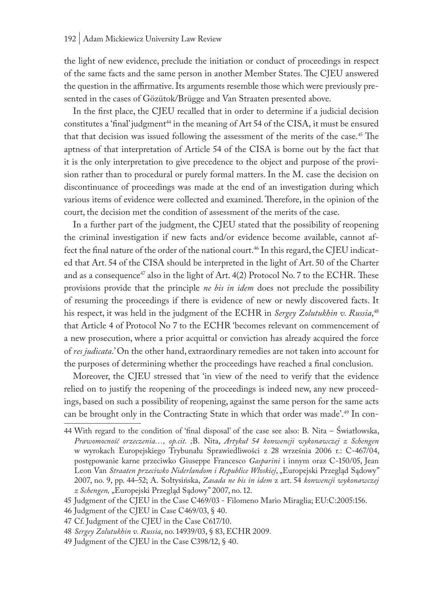the light of new evidence, preclude the initiation or conduct of proceedings in respect of the same facts and the same person in another Member States. The CJEU answered the question in the affirmative. Its arguments resemble those which were previously presented in the cases of Gözütok/Brügge and Van Straaten presented above.

In the first place, the CJEU recalled that in order to determine if a judicial decision constitutes a 'final' judgment<sup>44</sup> in the meaning of Art 54 of the CISA, it must be ensured that that decision was issued following the assessment of the merits of the case.<sup>45</sup> The aptness of that interpretation of Article 54 of the CISA is borne out by the fact that it is the only interpretation to give precedence to the object and purpose of the provision rather than to procedural or purely formal matters. In the M. case the decision on discontinuance of proceedings was made at the end of an investigation during which various items of evidence were collected and examined. Therefore, in the opinion of the court, the decision met the condition of assessment of the merits of the case.

In a further part of the judgment, the CJEU stated that the possibility of reopening the criminal investigation if new facts and/or evidence become available, cannot affect the final nature of the order of the national court.<sup>46</sup> In this regard, the CJEU indicated that Art. 54 of the CISA should be interpreted in the light of Art. 50 of the Charter and as a consequence<sup>47</sup> also in the light of Art.  $4(2)$  Protocol No. 7 to the ECHR. These provisions provide that the principle *ne bis in idem* does not preclude the possibility of resuming the proceedings if there is evidence of new or newly discovered facts. It his respect, it was held in the judgment of the ECHR in *Sergey Zolutukhin v. Russia*, 48 that Article 4 of Protocol No 7 to the ECHR 'becomes relevant on commencement of a new prosecution, where a prior acquittal or conviction has already acquired the force of *res judicata*.' On the other hand, extraordinary remedies are not taken into account for the purposes of determining whether the proceedings have reached a final conclusion.

Moreover, the CJEU stressed that 'in view of the need to verify that the evidence relied on to justify the reopening of the proceedings is indeed new, any new proceedings, based on such a possibility of reopening, against the same person for the same acts can be brought only in the Contracting State in which that order was made'.49 In con-

<sup>44</sup> With regard to the condition of 'final disposal' of the case see also: B. Nita – Światłowska, *Prawomocność orzeczenia…, op.cit. ;*B. Nita, *Artykuł 54 konwencji wykonawczej z Schengen* w wyrokach Europejskiego Trybunału Sprawiedliwości z 28 września 2006 r.: C-467/04, postępowanie karne przeciwko Giuseppe Francesco *Gasparini* i innym oraz C-150/05, Jean Leon Van *Straaten przeciwko Niderlandom i Republice Włoskiej*, "Europejski Przegląd Sądowy" 2007, no. 9, pp. 44–52; A. Sołtysińska, *Zasada ne bis in idem* z art. 54 *konwencji wykonawczej z Schengen,* "Europejski Przegląd Sądowy" 2007, no. 12.

<sup>45</sup> Judgment of the CJEU in the Case C469/03 - Filomeno Mario Miraglia; EU:C:2005:156.

<sup>46</sup> Judgment of the CJEU in Case C469/03, § 40.

<sup>47</sup> Cf. Judgment of the CJEU in the Case C617/10.

<sup>48</sup> *Sergey Zolutukhin v. Russia*, no. 14939/03, § 83, ECHR 2009.

<sup>49</sup> Judgment of the CJEU in the Case C398/12, § 40.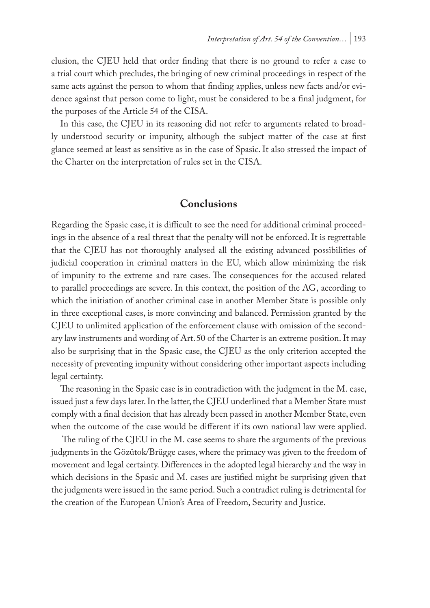clusion, the CJEU held that order finding that there is no ground to refer a case to a trial court which precludes, the bringing of new criminal proceedings in respect of the same acts against the person to whom that finding applies, unless new facts and/or evidence against that person come to light, must be considered to be a final judgment, for the purposes of the Article 54 of the CISA.

In this case, the CJEU in its reasoning did not refer to arguments related to broadly understood security or impunity, although the subject matter of the case at first glance seemed at least as sensitive as in the case of Spasic. It also stressed the impact of the Charter on the interpretation of rules set in the CISA.

# **Conclusions**

Regarding the Spasic case, it is difficult to see the need for additional criminal proceedings in the absence of a real threat that the penalty will not be enforced. It is regrettable that the CJEU has not thoroughly analysed all the existing advanced possibilities of judicial cooperation in criminal matters in the EU, which allow minimizing the risk of impunity to the extreme and rare cases. The consequences for the accused related to parallel proceedings are severe. In this context, the position of the AG, according to which the initiation of another criminal case in another Member State is possible only in three exceptional cases, is more convincing and balanced. Permission granted by the CJEU to unlimited application of the enforcement clause with omission of the secondary law instruments and wording of Art. 50 of the Charter is an extreme position. It may also be surprising that in the Spasic case, the CJEU as the only criterion accepted the necessity of preventing impunity without considering other important aspects including legal certainty.

The reasoning in the Spasic case is in contradiction with the judgment in the M. case, issued just a few days later. In the latter, the CJEU underlined that a Member State must comply with a final decision that has already been passed in another Member State, even when the outcome of the case would be different if its own national law were applied.

 The ruling of the CJEU in the M. case seems to share the arguments of the previous judgments in the Gözütok/Brügge cases, where the primacy was given to the freedom of movement and legal certainty. Differences in the adopted legal hierarchy and the way in which decisions in the Spasic and M. cases are justified might be surprising given that the judgments were issued in the same period. Such a contradict ruling is detrimental for the creation of the European Union's Area of Freedom, Security and Justice.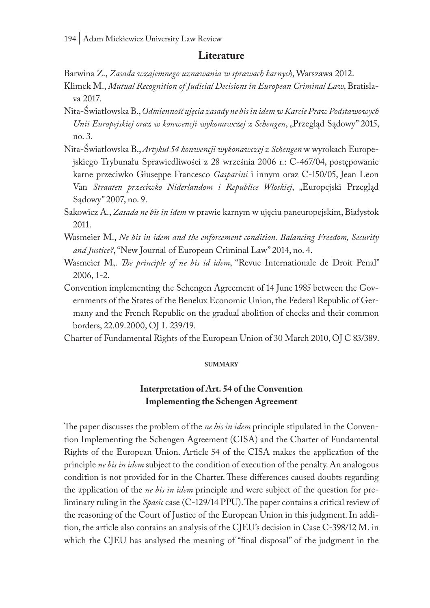### **Literature**

Barwina Z., *Zasada wzajemnego uznawania w sprawach karnych*, Warszawa 2012.

- Klimek M., *Mutual Recognition of Judicial Decisions in European Criminal Law*, Bratislava 2017.
- Nita-Światłowska B., *Odmienność ujęcia zasady ne bis in idem w Karcie Praw Podstawowych Unii Europejskiej oraz w konwencji wykonawczej z Schengen*, "Przegląd Sądowy" 2015, no. 3.
- Nita-Światłowska B., *Artykuł 54 konwencji wykonawczej z Schengen* w wyrokach Europejskiego Trybunału Sprawiedliwości z 28 września 2006 r.: C-467/04, postępowanie karne przeciwko Giuseppe Francesco *Gasparini* i innym oraz C-150/05, Jean Leon Van *Straaten przeciwko Niderlandom i Republice Włoskiej*, "Europejski Przegląd Sądowy" 2007, no. 9.
- Sakowicz A., *Zasada ne bis in idem* w prawie karnym w ujęciu paneuropejskim, Białystok 2011.
- Wasmeier M., *Ne bis in idem and the enforcement condition. Balancing Freedom, Security and Justice?*, "New Journal of European Criminal Law" 2014, no. 4.
- Wasmeier M,. *The principle of ne bis id idem*, "Revue Internationale de Droit Penal" 2006, 1-2.
- Convention implementing the Schengen Agreement of 14 June 1985 between the Governments of the States of the Benelux Economic Union, the Federal Republic of Germany and the French Republic on the gradual abolition of checks and their common borders, 22.09.2000, OJ L 239/19.
- Charter of Fundamental Rights of the European Union of 30 March 2010, OJ C 83/389.

#### **summary**

# **Interpretation of Art. 54 of the Convention Implementing the Schengen Agreement**

The paper discusses the problem of the *ne bis in idem* principle stipulated in the Convention Implementing the Schengen Agreement (CISA) and the Charter of Fundamental Rights of the European Union. Article 54 of the CISA makes the application of the principle *ne bis in idem* subject to the condition of execution of the penalty. An analogous condition is not provided for in the Charter. These differences caused doubts regarding the application of the *ne bis in idem* principle and were subject of the question for preliminary ruling in the *Spasic* case (C-129/14 PPU). The paper contains a critical review of the reasoning of the Court of Justice of the European Union in this judgment. In addition, the article also contains an analysis of the CJEU's decision in Case C-398/12 M. in which the CJEU has analysed the meaning of "final disposal" of the judgment in the